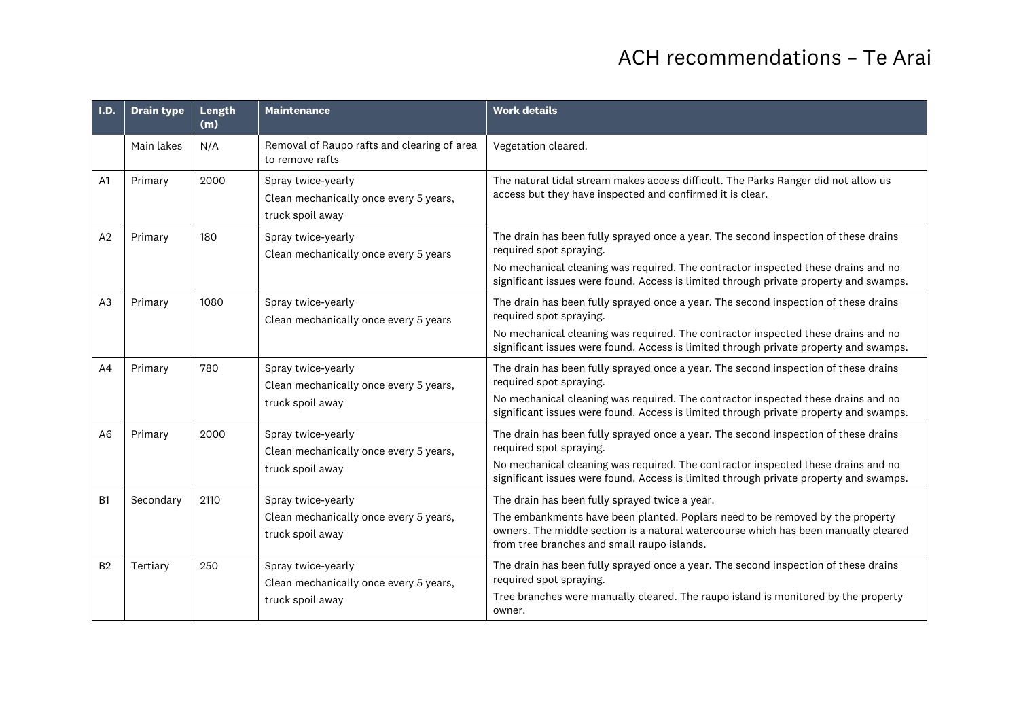## ACH recommendations – Te Arai

| I.D.           | <b>Drain type</b> | Length<br>(m) | <b>Maintenance</b>                                                               | <b>Work details</b>                                                                                                                                                                                                                                                                          |  |
|----------------|-------------------|---------------|----------------------------------------------------------------------------------|----------------------------------------------------------------------------------------------------------------------------------------------------------------------------------------------------------------------------------------------------------------------------------------------|--|
|                | Main lakes        | N/A           | Removal of Raupo rafts and clearing of area<br>to remove rafts                   | Vegetation cleared.                                                                                                                                                                                                                                                                          |  |
| A <sub>1</sub> | Primary           | 2000          | Spray twice-yearly<br>Clean mechanically once every 5 years,<br>truck spoil away | The natural tidal stream makes access difficult. The Parks Ranger did not allow us<br>access but they have inspected and confirmed it is clear.                                                                                                                                              |  |
| A <sub>2</sub> | Primary           | 180           | Spray twice-yearly<br>Clean mechanically once every 5 years                      | The drain has been fully sprayed once a year. The second inspection of these drains<br>required spot spraying.<br>No mechanical cleaning was required. The contractor inspected these drains and no<br>significant issues were found. Access is limited through private property and swamps. |  |
| A <sub>3</sub> | Primary           | 1080          | Spray twice-yearly<br>Clean mechanically once every 5 years                      | The drain has been fully sprayed once a year. The second inspection of these drains<br>required spot spraying.<br>No mechanical cleaning was required. The contractor inspected these drains and no<br>significant issues were found. Access is limited through private property and swamps. |  |
| A4             | Primary           | 780           | Spray twice-yearly<br>Clean mechanically once every 5 years,<br>truck spoil away | The drain has been fully sprayed once a year. The second inspection of these drains<br>required spot spraying.<br>No mechanical cleaning was required. The contractor inspected these drains and no<br>significant issues were found. Access is limited through private property and swamps. |  |
| A <sub>6</sub> | Primary           | 2000          | Spray twice-yearly<br>Clean mechanically once every 5 years,<br>truck spoil away | The drain has been fully sprayed once a year. The second inspection of these drains<br>required spot spraying.<br>No mechanical cleaning was required. The contractor inspected these drains and no<br>significant issues were found. Access is limited through private property and swamps. |  |
| B <sub>1</sub> | Secondary         | 2110          | Spray twice-yearly<br>Clean mechanically once every 5 years,<br>truck spoil away | The drain has been fully sprayed twice a year.<br>The embankments have been planted. Poplars need to be removed by the property<br>owners. The middle section is a natural watercourse which has been manually cleared<br>from tree branches and small raupo islands.                        |  |
| B <sub>2</sub> | Tertiary          | 250           | Spray twice-yearly<br>Clean mechanically once every 5 years,<br>truck spoil away | The drain has been fully sprayed once a year. The second inspection of these drains<br>required spot spraying.<br>Tree branches were manually cleared. The raupo island is monitored by the property<br>owner.                                                                               |  |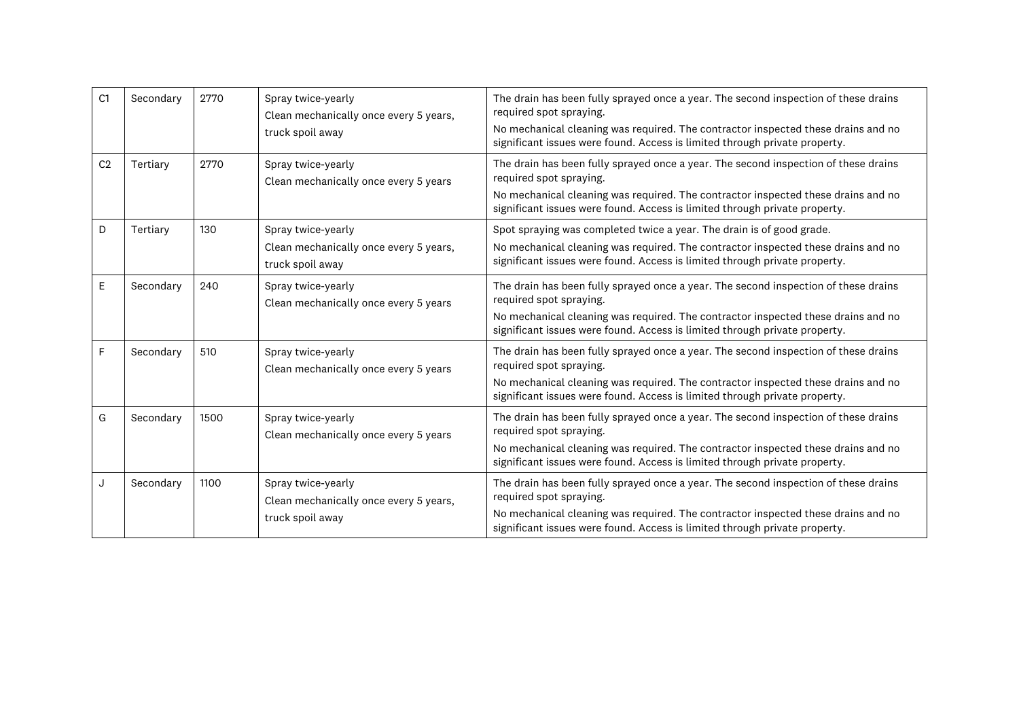| C <sub>1</sub> | Secondary | 2770 | Spray twice-yearly<br>Clean mechanically once every 5 years,<br>truck spoil away | The drain has been fully sprayed once a year. The second inspection of these drains<br>required spot spraying.<br>No mechanical cleaning was required. The contractor inspected these drains and no<br>significant issues were found. Access is limited through private property. |  |
|----------------|-----------|------|----------------------------------------------------------------------------------|-----------------------------------------------------------------------------------------------------------------------------------------------------------------------------------------------------------------------------------------------------------------------------------|--|
| C <sub>2</sub> | Tertiary  | 2770 | Spray twice-yearly<br>Clean mechanically once every 5 years                      | The drain has been fully sprayed once a year. The second inspection of these drains<br>required spot spraying.<br>No mechanical cleaning was required. The contractor inspected these drains and no<br>significant issues were found. Access is limited through private property. |  |
| D              | Tertiary  | 130  | Spray twice-yearly<br>Clean mechanically once every 5 years,<br>truck spoil away | Spot spraying was completed twice a year. The drain is of good grade.<br>No mechanical cleaning was required. The contractor inspected these drains and no<br>significant issues were found. Access is limited through private property.                                          |  |
| E              | Secondary | 240  | Spray twice-yearly<br>Clean mechanically once every 5 years                      | The drain has been fully sprayed once a year. The second inspection of these drains<br>required spot spraying.<br>No mechanical cleaning was required. The contractor inspected these drains and no<br>significant issues were found. Access is limited through private property. |  |
| F              | Secondary | 510  | Spray twice-yearly<br>Clean mechanically once every 5 years                      | The drain has been fully sprayed once a year. The second inspection of these drains<br>required spot spraying.<br>No mechanical cleaning was required. The contractor inspected these drains and no<br>significant issues were found. Access is limited through private property. |  |
| G              | Secondary | 1500 | Spray twice-yearly<br>Clean mechanically once every 5 years                      | The drain has been fully sprayed once a year. The second inspection of these drains<br>required spot spraying.<br>No mechanical cleaning was required. The contractor inspected these drains and no<br>significant issues were found. Access is limited through private property. |  |
| J              | Secondary | 1100 | Spray twice-yearly<br>Clean mechanically once every 5 years,<br>truck spoil away | The drain has been fully sprayed once a year. The second inspection of these drains<br>required spot spraying.<br>No mechanical cleaning was required. The contractor inspected these drains and no<br>significant issues were found. Access is limited through private property. |  |